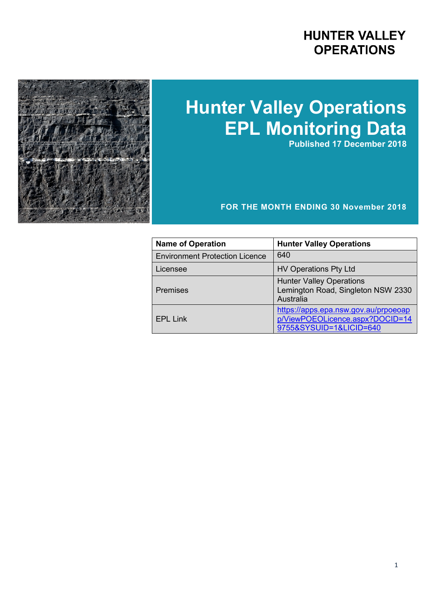## **HUNTER VALLEY OPERATIONS**



# **Hunter Valley Operations EPL Monitoring Data**

**Published 17 December 2018**

#### **FOR THE MONTH ENDING 30 November 2018**

| <b>Name of Operation</b>              | <b>Hunter Valley Operations</b>                                                                    |
|---------------------------------------|----------------------------------------------------------------------------------------------------|
| <b>Environment Protection Licence</b> | 640                                                                                                |
| Licensee                              | <b>HV Operations Pty Ltd</b>                                                                       |
| <b>Premises</b>                       | <b>Hunter Valley Operations</b><br>Lemington Road, Singleton NSW 2330<br>Australia                 |
| <b>EPL Link</b>                       | https://apps.epa.nsw.gov.au/prpoeoap<br>p/ViewPOEOLicence.aspx?DOCID=14<br>9755&SYSUID=1&LICID=640 |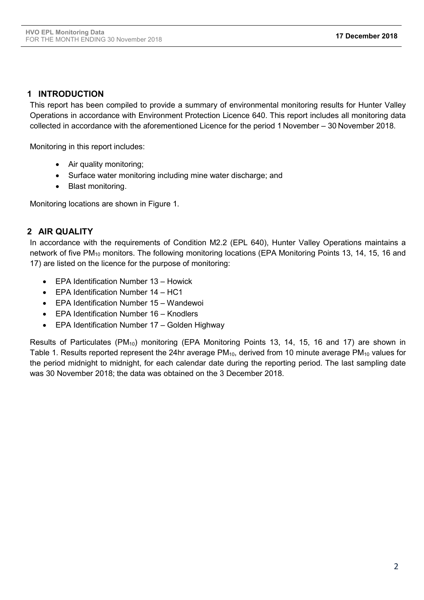#### **1 INTRODUCTION**

This report has been compiled to provide a summary of environmental monitoring results for Hunter Valley Operations in accordance with Environment Protection Licence 640. This report includes all monitoring data collected in accordance with the aforementioned Licence for the period 1 November – 30 November 2018.

Monitoring in this report includes:

- Air quality monitoring;
- Surface water monitoring including mine water discharge; and
- Blast monitoring.

Monitoring locations are shown in Figure 1.

#### **2 AIR QUALITY**

In accordance with the requirements of Condition M2.2 (EPL 640), Hunter Valley Operations maintains a network of five PM<sub>10</sub> monitors. The following monitoring locations (EPA Monitoring Points 13, 14, 15, 16 and 17) are listed on the licence for the purpose of monitoring:

- EPA Identification Number 13 Howick
- EPA Identification Number 14 HC1
- EPA Identification Number 15 Wandewoi
- EPA Identification Number 16 Knodlers
- EPA Identification Number 17 Golden Highway

Results of Particulates (PM<sub>10</sub>) monitoring (EPA Monitoring Points 13, 14, 15, 16 and 17) are shown in Table 1. Results reported represent the 24hr average PM<sub>10</sub>, derived from 10 minute average PM<sub>10</sub> values for the period midnight to midnight, for each calendar date during the reporting period. The last sampling date was 30 November 2018; the data was obtained on the 3 December 2018.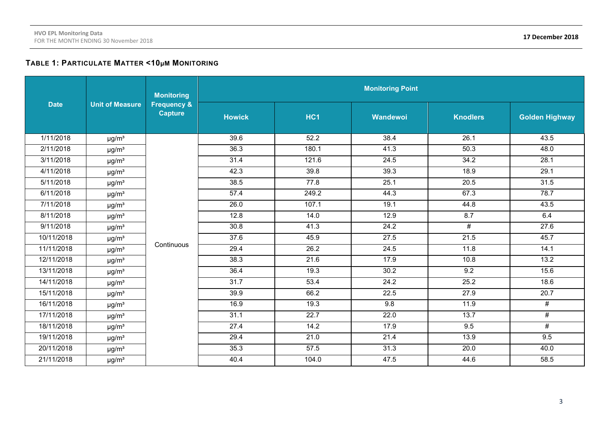#### **TABLE 1: PARTICULATE MATTER <10µM MONITORING**

|             |                        | <b>Monitoring</b>                        | <b>Monitoring Point</b> |                 |          |                 |                                                                                                              |  |  |
|-------------|------------------------|------------------------------------------|-------------------------|-----------------|----------|-----------------|--------------------------------------------------------------------------------------------------------------|--|--|
| <b>Date</b> | <b>Unit of Measure</b> | <b>Frequency &amp;</b><br><b>Capture</b> | <b>Howick</b>           | HC <sub>1</sub> | Wandewoi | <b>Knodlers</b> | <b>Golden Highway</b><br>43.5<br>48.0<br>28.1<br>29.1<br>31.5<br>78.7<br>43.5<br>6.4<br>27.6<br>45.7<br>14.1 |  |  |
| 1/11/2018   | $\mu$ g/m <sup>3</sup> |                                          | 39.6                    | 52.2            | 38.4     | 26.1            |                                                                                                              |  |  |
| 2/11/2018   | $\mu$ g/m <sup>3</sup> |                                          | 36.3                    | 180.1           | 41.3     | 50.3            |                                                                                                              |  |  |
| 3/11/2018   | $\mu$ g/m <sup>3</sup> |                                          | 31.4                    | 121.6           | 24.5     | 34.2            |                                                                                                              |  |  |
| 4/11/2018   | $\mu$ g/m <sup>3</sup> |                                          | 42.3                    | 39.8            | 39.3     | 18.9            |                                                                                                              |  |  |
| 5/11/2018   | $\mu$ g/m <sup>3</sup> |                                          | 38.5                    | 77.8            | 25.1     | 20.5            |                                                                                                              |  |  |
| 6/11/2018   | $\mu$ g/m <sup>3</sup> |                                          | 57.4                    | 249.2           | 44.3     | 67.3            |                                                                                                              |  |  |
| 7/11/2018   | $\mu$ g/m <sup>3</sup> |                                          | 26.0                    | 107.1           | 19.1     | 44.8            |                                                                                                              |  |  |
| 8/11/2018   | $\mu$ g/m <sup>3</sup> |                                          | 12.8                    | 14.0            | 12.9     | 8.7             |                                                                                                              |  |  |
| 9/11/2018   | $\mu$ g/m <sup>3</sup> |                                          | 30.8                    | 41.3            | 24.2     | #               |                                                                                                              |  |  |
| 10/11/2018  | $\mu$ g/m <sup>3</sup> |                                          | 37.6                    | 45.9            | 27.5     | 21.5            |                                                                                                              |  |  |
| 11/11/2018  | $\mu$ g/m <sup>3</sup> | Continuous                               | 29.4                    | 26.2            | 24.5     | 11.8            |                                                                                                              |  |  |
| 12/11/2018  | $\mu$ g/m <sup>3</sup> |                                          | 38.3                    | 21.6            | 17.9     | 10.8            | 13.2                                                                                                         |  |  |
| 13/11/2018  | $\mu$ g/m <sup>3</sup> |                                          | 36.4                    | 19.3            | 30.2     | 9.2             | 15.6                                                                                                         |  |  |
| 14/11/2018  | $\mu$ g/m <sup>3</sup> |                                          | $\overline{31.7}$       | 53.4            | 24.2     | 25.2            | 18.6                                                                                                         |  |  |
| 15/11/2018  | $\mu$ g/m <sup>3</sup> |                                          | 39.9                    | 66.2            | 22.5     | 27.9            | $\overline{20.7}$                                                                                            |  |  |
| 16/11/2018  | $\mu$ g/m <sup>3</sup> |                                          | 16.9                    | 19.3            | 9.8      | 11.9            | #                                                                                                            |  |  |
| 17/11/2018  | $\mu$ g/m <sup>3</sup> |                                          | 31.1                    | 22.7            | 22.0     | 13.7            | #                                                                                                            |  |  |
| 18/11/2018  | $\mu$ g/m <sup>3</sup> |                                          | 27.4                    | 14.2            | 17.9     | 9.5             | $\overline{\#}$                                                                                              |  |  |
| 19/11/2018  | $\mu$ g/m <sup>3</sup> |                                          | 29.4                    | 21.0            | 21.4     | 13.9            | 9.5                                                                                                          |  |  |
| 20/11/2018  | $\mu$ g/m <sup>3</sup> |                                          | 35.3                    | 57.5            | 31.3     | 20.0            | 40.0                                                                                                         |  |  |
| 21/11/2018  | $\mu$ g/m <sup>3</sup> |                                          | 40.4                    | 104.0           | 47.5     | 44.6            | 58.5                                                                                                         |  |  |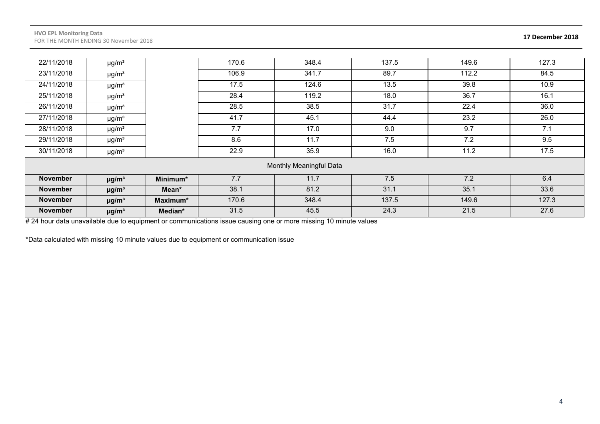| 22/11/2018      | $\mu$ g/m <sup>3</sup> |          | 170.6 | 348.4                   | 137.5 | 149.6 | 127.3 |
|-----------------|------------------------|----------|-------|-------------------------|-------|-------|-------|
| 23/11/2018      | $\mu$ g/m <sup>3</sup> |          | 106.9 | 341.7                   | 89.7  | 112.2 | 84.5  |
| 24/11/2018      | $\mu$ g/m <sup>3</sup> |          | 17.5  | 124.6                   | 13.5  | 39.8  | 10.9  |
| 25/11/2018      | $\mu$ g/m <sup>3</sup> |          | 28.4  | 119.2                   | 18.0  | 36.7  | 16.1  |
| 26/11/2018      | $\mu$ g/m <sup>3</sup> |          | 28.5  | 38.5                    | 31.7  | 22.4  | 36.0  |
| 27/11/2018      | $\mu$ g/m <sup>3</sup> |          | 41.7  | 45.1                    | 44.4  | 23.2  | 26.0  |
| 28/11/2018      | $\mu$ g/m <sup>3</sup> |          | 7.7   | 17.0                    | 9.0   | 9.7   | 7.1   |
| 29/11/2018      | $\mu$ g/m <sup>3</sup> |          | 8.6   | 11.7                    | 7.5   | 7.2   | 9.5   |
| 30/11/2018      | $\mu$ g/m <sup>3</sup> |          | 22.9  | 35.9                    | 16.0  | 11.2  | 17.5  |
|                 |                        |          |       | Monthly Meaningful Data |       |       |       |
| <b>November</b> | $\mu$ g/m <sup>3</sup> | Minimum* | 7.7   | 11.7                    | 7.5   | 7.2   | 6.4   |
| <b>November</b> | $\mu$ g/m <sup>3</sup> | Mean*    | 38.1  | 81.2                    | 31.1  | 35.1  | 33.6  |
| <b>November</b> | $\mu$ g/m <sup>3</sup> | Maximum* | 170.6 | 348.4                   | 137.5 | 149.6 | 127.3 |
| <b>November</b> | $\mu$ g/m <sup>3</sup> | Median*  | 31.5  | 45.5                    | 24.3  | 21.5  | 27.6  |

# 24 hour data unavailable due to equipment or communications issue causing one or more missing 10 minute values

\*Data calculated with missing 10 minute values due to equipment or communication issue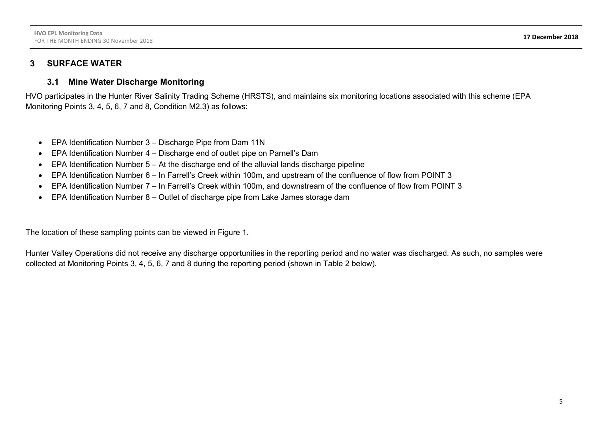#### **3 SURFACE WATER**

#### **3.1 Mine Water Discharge Monitoring**

HVO participates in the Hunter River Salinity Trading Scheme (HRSTS), and maintains six monitoring locations associated with this scheme (EPA Monitoring Points 3, 4, 5, 6, 7 and 8, Condition M2.3) as follows:

- EPA Identification Number 3 Discharge Pipe from Dam 11N
- EPA Identification Number 4 Discharge end of outlet pipe on Parnell's Dam
- $\bullet$  EPA Identification Number 5 At the discharge end of the alluvial lands discharge pipeline
- EPA Identification Number 6 In Farrell's Creek within 100m, and upstream of the confluence of flow from POINT 3
- EPA Identification Number 7 In Farrell's Creek within 100m, and downstream of the confluence of flow from POINT 3
- EPA Identification Number 8 Outlet of discharge pipe from Lake James storage dam

The location of these sampling points can be viewed in Figure 1.

Hunter Valley Operations did not receive any discharge opportunities in the reporting period and no water was discharged. As such, no samples were collected at Monitoring Points 3, 4, 5, 6, 7 and 8 during the reporting period (shown in Table 2 below).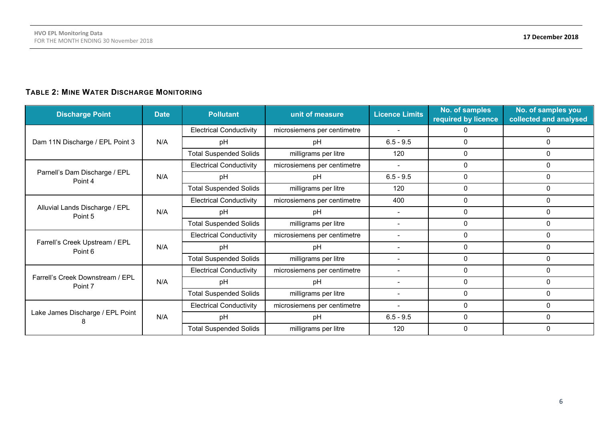### **TABLE 2: MINE WATER DISCHARGE MONITORING**

| <b>Discharge Point</b>                      | <b>Date</b> | <b>Pollutant</b>               | unit of measure             | <b>Licence Limits</b>                                                                                                                                                                                                                                                                                                                                                                                                                                                                        | No. of samples<br>required by licence | No. of samples you<br>collected and analysed |
|---------------------------------------------|-------------|--------------------------------|-----------------------------|----------------------------------------------------------------------------------------------------------------------------------------------------------------------------------------------------------------------------------------------------------------------------------------------------------------------------------------------------------------------------------------------------------------------------------------------------------------------------------------------|---------------------------------------|----------------------------------------------|
|                                             |             | <b>Electrical Conductivity</b> | microsiemens per centimetre | $\overline{\phantom{a}}$                                                                                                                                                                                                                                                                                                                                                                                                                                                                     | O.                                    |                                              |
| Dam 11N Discharge / EPL Point 3             | N/A         | pH                             | pH                          | $6.5 - 9.5$<br>$\mathbf{0}$<br>$\Omega$<br>0<br>120<br>$\mathbf{0}$<br>0<br>$\Omega$<br>$6.5 - 9.5$<br>0<br>$\Omega$<br>рH<br>120<br>0<br>$\Omega$<br>400<br>0<br>$\Omega$<br>0<br>$\Omega$<br>pH<br>$\overline{\phantom{a}}$<br>$\mathbf{0}$<br>$\Omega$<br>$\overline{\phantom{a}}$<br>$\mathbf 0$<br>$\Omega$<br>$\overline{\phantom{0}}$<br>$\mathbf{0}$<br>$\mathbf{0}$<br>pH<br>0<br>$\mathbf{0}$<br>0<br>$\Omega$<br>0<br>$\Omega$<br>рH<br>$\overline{\phantom{a}}$<br>0<br>$\Omega$ |                                       |                                              |
|                                             |             | <b>Total Suspended Solids</b>  | milligrams per litre        |                                                                                                                                                                                                                                                                                                                                                                                                                                                                                              |                                       |                                              |
|                                             |             | <b>Electrical Conductivity</b> | microsiemens per centimetre |                                                                                                                                                                                                                                                                                                                                                                                                                                                                                              |                                       |                                              |
| Parnell's Dam Discharge / EPL<br>Point 4    | N/A         | pH                             |                             |                                                                                                                                                                                                                                                                                                                                                                                                                                                                                              |                                       |                                              |
|                                             |             | <b>Total Suspended Solids</b>  | milligrams per litre        |                                                                                                                                                                                                                                                                                                                                                                                                                                                                                              |                                       |                                              |
|                                             |             | <b>Electrical Conductivity</b> | microsiemens per centimetre |                                                                                                                                                                                                                                                                                                                                                                                                                                                                                              |                                       |                                              |
| Alluvial Lands Discharge / EPL<br>Point 5   | N/A         | pH                             |                             |                                                                                                                                                                                                                                                                                                                                                                                                                                                                                              |                                       |                                              |
|                                             |             | <b>Total Suspended Solids</b>  | milligrams per litre        |                                                                                                                                                                                                                                                                                                                                                                                                                                                                                              |                                       |                                              |
|                                             |             | <b>Electrical Conductivity</b> | microsiemens per centimetre |                                                                                                                                                                                                                                                                                                                                                                                                                                                                                              |                                       |                                              |
| Farrell's Creek Upstream / EPL<br>Point 6   | N/A         | pH                             |                             |                                                                                                                                                                                                                                                                                                                                                                                                                                                                                              |                                       |                                              |
|                                             |             | <b>Total Suspended Solids</b>  | milligrams per litre        |                                                                                                                                                                                                                                                                                                                                                                                                                                                                                              |                                       |                                              |
|                                             |             | <b>Electrical Conductivity</b> | microsiemens per centimetre |                                                                                                                                                                                                                                                                                                                                                                                                                                                                                              |                                       |                                              |
| Farrell's Creek Downstream / EPL<br>Point 7 | N/A         | pH                             |                             |                                                                                                                                                                                                                                                                                                                                                                                                                                                                                              |                                       |                                              |
|                                             |             | <b>Total Suspended Solids</b>  | milligrams per litre        |                                                                                                                                                                                                                                                                                                                                                                                                                                                                                              |                                       |                                              |
|                                             |             | <b>Electrical Conductivity</b> | microsiemens per centimetre |                                                                                                                                                                                                                                                                                                                                                                                                                                                                                              | 0                                     | $\Omega$                                     |
| Lake James Discharge / EPL Point            | N/A         | pH                             | pH                          | $6.5 - 9.5$                                                                                                                                                                                                                                                                                                                                                                                                                                                                                  | $\mathbf 0$                           | $\Omega$                                     |
|                                             |             | <b>Total Suspended Solids</b>  | milligrams per litre        | 120                                                                                                                                                                                                                                                                                                                                                                                                                                                                                          | $\Omega$                              | $\Omega$                                     |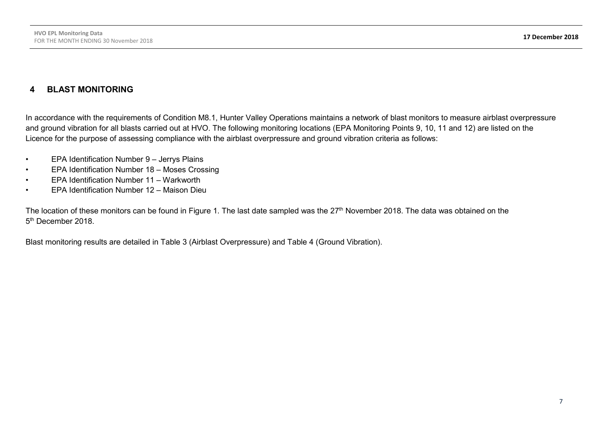#### **4 BLAST MONITORING**

In accordance with the requirements of Condition M8.1, Hunter Valley Operations maintains a network of blast monitors to measure airblast overpressure and ground vibration for all blasts carried out at HVO. The following monitoring locations (EPA Monitoring Points 9, 10, 11 and 12) are listed on the Licence for the purpose of assessing compliance with the airblast overpressure and ground vibration criteria as follows:

- EPA Identification Number 9 Jerrys Plains
- EPA Identification Number 18 Moses Crossing
- EPA Identification Number 11 Warkworth
- EPA Identification Number 12 Maison Dieu

The location of these monitors can be found in Figure 1. The last date sampled was the 27<sup>th</sup> November 2018. The data was obtained on the 5<sup>th</sup> December 2018

Blast monitoring results are detailed in Table 3 (Airblast Overpressure) and Table 4 (Ground Vibration).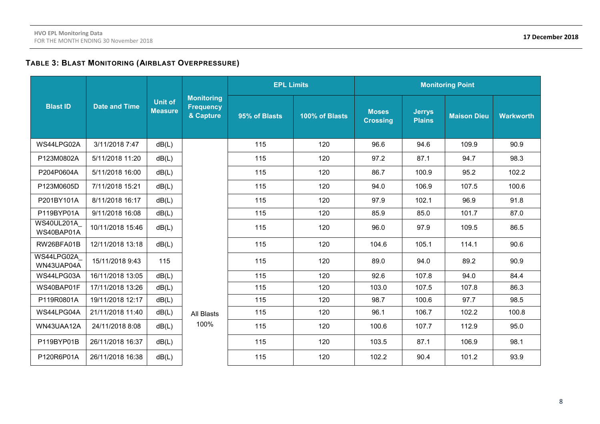#### **TABLE 3: BLAST MONITORING (AIRBLAST OVERPRESSURE)**

|                                 |                      |                                                                                        |            | <b>EPL Limits</b> |                | <b>Monitoring Point</b>         |                                |                    |                  |
|---------------------------------|----------------------|----------------------------------------------------------------------------------------|------------|-------------------|----------------|---------------------------------|--------------------------------|--------------------|------------------|
| <b>Blast ID</b>                 | <b>Date and Time</b> | <b>Monitoring</b><br><b>Unit of</b><br><b>Frequency</b><br><b>Measure</b><br>& Capture |            | 95% of Blasts     | 100% of Blasts | <b>Moses</b><br><b>Crossing</b> | <b>Jerrys</b><br><b>Plains</b> | <b>Maison Dieu</b> | <b>Warkworth</b> |
| WS44LPG02A                      | 3/11/2018 7:47       | dB(L)                                                                                  |            | 115               | 120            | 96.6                            | 94.6                           | 109.9              | 90.9             |
| P123M0802A                      | 5/11/2018 11:20      | dB(L)                                                                                  |            | 115               | 120            | 97.2                            | 87.1                           | 94.7               | 98.3             |
| P204P0604A                      | 5/11/2018 16:00      | dB(L)                                                                                  |            | 115               | 120            | 86.7                            | 100.9                          | 95.2               | 102.2            |
| P123M0605D                      | 7/11/2018 15:21      | dB(L)                                                                                  |            | 115               | 120            | 94.0                            | 106.9                          | 107.5              | 100.6            |
| P201BY101A                      | 8/11/2018 16:17      | dB(L)                                                                                  |            | 115               | 120            | 97.9                            | 102.1                          | 96.9               | 91.8             |
| P119BYP01A                      | 9/11/2018 16:08      | dB(L)                                                                                  |            | 115               | 120            | 85.9                            | 85.0                           | 101.7              | 87.0             |
| <b>WS40UL201A</b><br>WS40BAP01A | 10/11/2018 15:46     | dB(L)                                                                                  |            | 115               | 120            | 96.0                            | 97.9                           | 109.5              | 86.5             |
| RW26BFA01B                      | 12/11/2018 13:18     | dB(L)                                                                                  |            | 115               | 120            | 104.6                           | 105.1                          | 114.1              | 90.6             |
| WS44LPG02A<br>WN43UAP04A        | 15/11/2018 9:43      | 115                                                                                    |            | 115               | 120            | 89.0                            | 94.0                           | 89.2               | 90.9             |
| WS44LPG03A                      | 16/11/2018 13:05     | dB(L)                                                                                  |            | 115               | 120            | 92.6                            | 107.8                          | 94.0               | 84.4             |
| WS40BAP01F                      | 17/11/2018 13:26     | dB(L)                                                                                  |            | 115               | 120            | 103.0                           | 107.5                          | 107.8              | 86.3             |
| P119R0801A                      | 19/11/2018 12:17     | dB(L)                                                                                  |            | 115               | 120            | 98.7                            | 100.6                          | 97.7               | 98.5             |
| WS44LPG04A                      | 21/11/2018 11:40     | dB(L)                                                                                  | All Blasts | 115               | 120            | 96.1                            | 106.7                          | 102.2              | 100.8            |
| WN43UAA12A                      | 24/11/2018 8:08      | dB(L)                                                                                  | 100%       | 115               | 120            | 100.6                           | 107.7                          | 112.9              | 95.0             |
| P119BYP01B                      | 26/11/2018 16:37     | dB(L)                                                                                  |            | 115               | 120            | 103.5                           | 87.1                           | 106.9              | 98.1             |
| P120R6P01A                      | 26/11/2018 16:38     | dB(L)                                                                                  |            | 115               | 120            | 102.2                           | 90.4                           | 101.2              | 93.9             |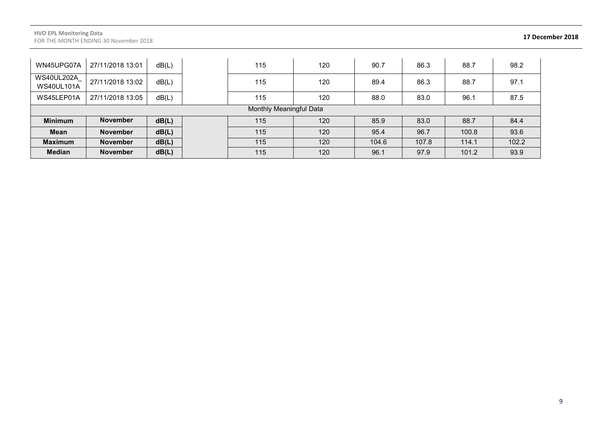| WN45UPG07A                             | 27/11/2018 13:01        | dB(L) |  | 115 | 120 | 90.7  | 86.3  | 88.7  | 98.2  |
|----------------------------------------|-------------------------|-------|--|-----|-----|-------|-------|-------|-------|
| <b>WS40UL202A</b><br><b>WS40UL101A</b> | 27/11/2018 13:02        | dB(L) |  | 115 | 120 | 89.4  | 86.3  | 88.7  | 97.1  |
| WS45LEP01A                             | 27/11/2018 13:05        | dB(L) |  | 115 | 120 | 88.0  | 83.0  | 96.1  | 87.5  |
|                                        | Monthly Meaningful Data |       |  |     |     |       |       |       |       |
| <b>Minimum</b>                         | <b>November</b>         | dB(L) |  | 115 | 120 | 85.9  | 83.0  | 88.7  | 84.4  |
| <b>Mean</b>                            | <b>November</b>         | dB(L) |  | 115 | 120 | 95.4  | 96.7  | 100.8 | 93.6  |
| <b>Maximum</b>                         | <b>November</b>         | dB(L) |  | 115 | 120 | 104.6 | 107.8 | 114.1 | 102.2 |
| <b>Median</b>                          | <b>November</b>         | dB(L) |  | 115 | 120 | 96.1  | 97.9  | 101.2 | 93.9  |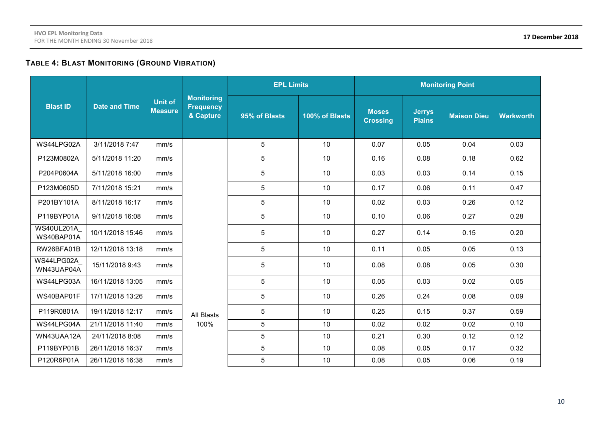#### **TABLE 4: BLAST MONITORING (GROUND VIBRATION)**

|                                 |                      |                                                                                        |            | <b>EPL Limits</b> |                | <b>Monitoring Point</b>         |                                |                    |                  |
|---------------------------------|----------------------|----------------------------------------------------------------------------------------|------------|-------------------|----------------|---------------------------------|--------------------------------|--------------------|------------------|
| <b>Blast ID</b>                 | <b>Date and Time</b> | <b>Monitoring</b><br><b>Unit of</b><br><b>Frequency</b><br><b>Measure</b><br>& Capture |            | 95% of Blasts     | 100% of Blasts | <b>Moses</b><br><b>Crossing</b> | <b>Jerrys</b><br><b>Plains</b> | <b>Maison Dieu</b> | <b>Warkworth</b> |
| WS44LPG02A                      | 3/11/2018 7:47       | mm/s                                                                                   |            | 5                 | 10             | 0.07                            | 0.05                           | 0.04               | 0.03             |
| P123M0802A                      | 5/11/2018 11:20      | mm/s                                                                                   |            | 5                 | 10             | 0.16                            | 0.08                           | 0.18               | 0.62             |
| P204P0604A                      | 5/11/2018 16:00      | mm/s                                                                                   |            | 5                 | 10             | 0.03                            | 0.03                           | 0.14               | 0.15             |
| P123M0605D                      | 7/11/2018 15:21      | mm/s                                                                                   |            | 5                 | 10             | 0.17                            | 0.06                           | 0.11               | 0.47             |
| P201BY101A                      | 8/11/2018 16:17      | mm/s                                                                                   |            | 5                 | 10             | 0.02                            | 0.03                           | 0.26               | 0.12             |
| P119BYP01A                      | 9/11/2018 16:08      | mm/s                                                                                   |            | 5                 | 10             | 0.10                            | 0.06                           | 0.27               | 0.28             |
| <b>WS40UL201A</b><br>WS40BAP01A | 10/11/2018 15:46     | mm/s                                                                                   |            | 5                 | 10             | 0.27                            | 0.14                           | 0.15               | 0.20             |
| RW26BFA01B                      | 12/11/2018 13:18     | mm/s                                                                                   |            | 5                 | 10             | 0.11                            | 0.05                           | 0.05               | 0.13             |
| WS44LPG02A<br>WN43UAP04A        | 15/11/2018 9:43      | mm/s                                                                                   |            | 5                 | 10             | 0.08                            | 0.08                           | 0.05               | 0.30             |
| WS44LPG03A                      | 16/11/2018 13:05     | mm/s                                                                                   |            | 5                 | 10             | 0.05                            | 0.03                           | 0.02               | 0.05             |
| WS40BAP01F                      | 17/11/2018 13:26     | mm/s                                                                                   |            | 5                 | 10             | 0.26                            | 0.24                           | 0.08               | 0.09             |
| P119R0801A                      | 19/11/2018 12:17     | mm/s                                                                                   | All Blasts | 5                 | 10             | 0.25                            | 0.15                           | 0.37               | 0.59             |
| WS44LPG04A                      | 21/11/2018 11:40     | mm/s                                                                                   | 100%       | 5                 | 10             | 0.02                            | 0.02                           | 0.02               | 0.10             |
| WN43UAA12A                      | 24/11/2018 8:08      | mm/s                                                                                   |            | 5                 | 10             | 0.21                            | 0.30                           | 0.12               | 0.12             |
| P119BYP01B                      | 26/11/2018 16:37     | mm/s                                                                                   |            | 5                 | 10             | 0.08                            | 0.05                           | 0.17               | 0.32             |
| P120R6P01A                      | 26/11/2018 16:38     | mm/s                                                                                   |            | 5                 | 10             | 0.08                            | 0.05                           | 0.06               | 0.19             |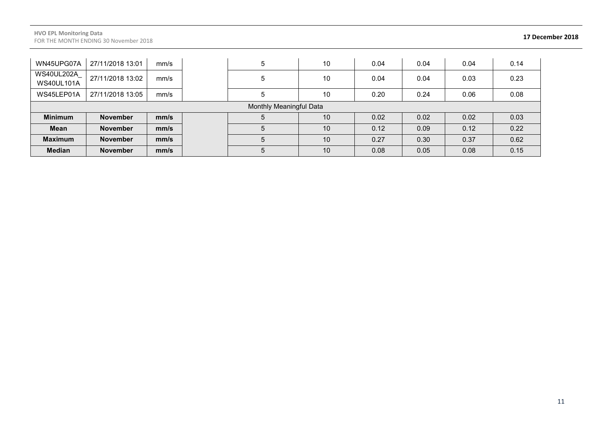#### **HVO EPL Monitoring Data** FOR THE MONTH ENDING 30 November 2018 **17 December 2018**

| WN45UPG07A                      | 27/11/2018 13:01        | mm/s |  | 5 | 10              | 0.04 | 0.04 | 0.04 | 0.14 |
|---------------------------------|-------------------------|------|--|---|-----------------|------|------|------|------|
| WS40UL202A<br><b>WS40UL101A</b> | 27/11/2018 13:02        | mm/s |  |   | 10              | 0.04 | 0.04 | 0.03 | 0.23 |
| WS45LEP01A                      | 27/11/2018 13:05        | mm/s |  |   | 10              | 0.20 | 0.24 | 0.06 | 0.08 |
|                                 | Monthly Meaningful Data |      |  |   |                 |      |      |      |      |
| <b>Minimum</b>                  | <b>November</b>         | mm/s |  |   | 10              | 0.02 | 0.02 | 0.02 | 0.03 |
| <b>Mean</b>                     |                         |      |  |   |                 |      |      |      |      |
|                                 | <b>November</b>         | mm/s |  |   | 10 <sup>°</sup> | 0.12 | 0.09 | 0.12 | 0.22 |
| <b>Maximum</b>                  | <b>November</b>         | mm/s |  |   | 10              | 0.27 | 0.30 | 0.37 | 0.62 |